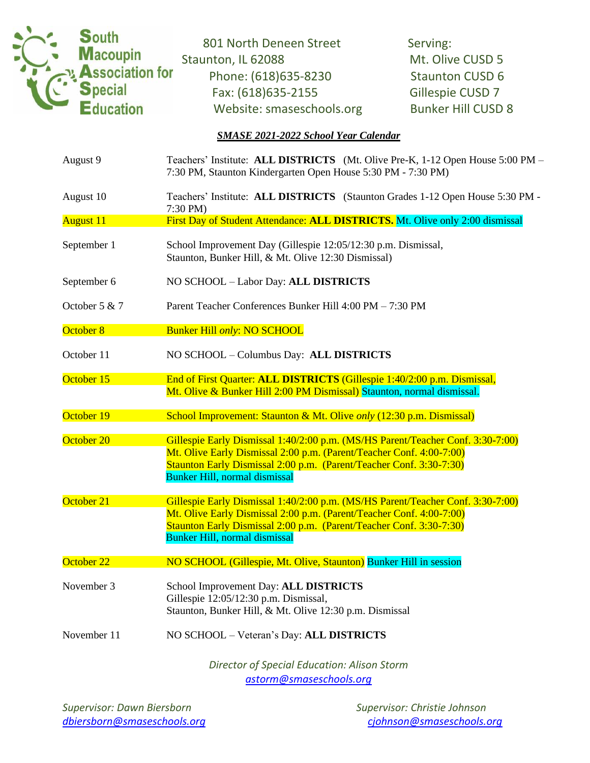

801 North Deneen Street Serving: Staunton, IL 62088 Mt. Olive CUSD 5 Phone: (618) 635-8230 Staunton CUSD 6 Fax: (618)635-2155 Gillespie CUSD 7 Website: smaseschools.org Bunker Hill CUSD 8

## *SMASE 2021-2022 School Year Calendar*

| August 9         | Teachers' Institute: ALL DISTRICTS (Mt. Olive Pre-K, 1-12 Open House 5:00 PM -<br>7:30 PM, Staunton Kindergarten Open House 5:30 PM - 7:30 PM)                                                                                                                         |  |  |
|------------------|------------------------------------------------------------------------------------------------------------------------------------------------------------------------------------------------------------------------------------------------------------------------|--|--|
| August 10        | Teachers' Institute: ALL DISTRICTS (Staunton Grades 1-12 Open House 5:30 PM -<br>7:30 PM)                                                                                                                                                                              |  |  |
| <b>August 11</b> | First Day of Student Attendance: ALL DISTRICTS. Mt. Olive only 2:00 dismissal                                                                                                                                                                                          |  |  |
| September 1      | School Improvement Day (Gillespie 12:05/12:30 p.m. Dismissal,<br>Staunton, Bunker Hill, & Mt. Olive 12:30 Dismissal)                                                                                                                                                   |  |  |
| September 6      | NO SCHOOL - Labor Day: ALL DISTRICTS                                                                                                                                                                                                                                   |  |  |
| October 5 & 7    | Parent Teacher Conferences Bunker Hill 4:00 PM - 7:30 PM                                                                                                                                                                                                               |  |  |
| October 8        | <b>Bunker Hill only: NO SCHOOL</b>                                                                                                                                                                                                                                     |  |  |
| October 11       | NO SCHOOL - Columbus Day: ALL DISTRICTS                                                                                                                                                                                                                                |  |  |
| October 15       | End of First Quarter: ALL DISTRICTS (Gillespie 1:40/2:00 p.m. Dismissal,<br>Mt. Olive & Bunker Hill 2:00 PM Dismissal) Staunton, normal dismissal.                                                                                                                     |  |  |
| October 19       | School Improvement: Staunton & Mt. Olive only (12:30 p.m. Dismissal)                                                                                                                                                                                                   |  |  |
| October 20       | Gillespie Early Dismissal 1:40/2:00 p.m. (MS/HS Parent/Teacher Conf. 3:30-7:00)<br>Mt. Olive Early Dismissal 2:00 p.m. (Parent/Teacher Conf. 4:00-7:00)<br>Staunton Early Dismissal 2:00 p.m. (Parent/Teacher Conf. 3:30-7:30)<br><b>Bunker Hill, normal dismissal</b> |  |  |
| October 21       | Gillespie Early Dismissal 1:40/2:00 p.m. (MS/HS Parent/Teacher Conf. 3:30-7:00)<br>Mt. Olive Early Dismissal 2:00 p.m. (Parent/Teacher Conf. 4:00-7:00)<br>Staunton Early Dismissal 2:00 p.m. (Parent/Teacher Conf. 3:30-7:30)<br><b>Bunker Hill, normal dismissal</b> |  |  |
| October 22       | NO SCHOOL (Gillespie, Mt. Olive, Staunton) Bunker Hill in session                                                                                                                                                                                                      |  |  |
| November 3       | School Improvement Day: ALL DISTRICTS<br>Gillespie 12:05/12:30 p.m. Dismissal,<br>Staunton, Bunker Hill, & Mt. Olive 12:30 p.m. Dismissal                                                                                                                              |  |  |
| November 11      | NO SCHOOL - Veteran's Day: ALL DISTRICTS                                                                                                                                                                                                                               |  |  |
|                  | Director of Special Education: Alison Storm                                                                                                                                                                                                                            |  |  |

*[astorm@smaseschools.org](mailto:astorm@smaseschools.org)*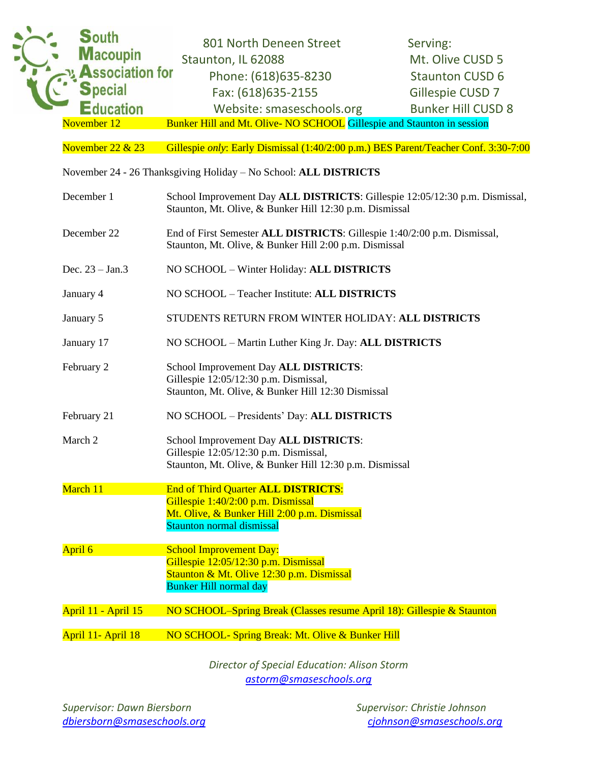

November 22 & 23 Gillespie *only*: Early Dismissal (1:40/2:00 p.m.) BES Parent/Teacher Conf. 3:30-7:00

November 24 - 26 Thanksgiving Holiday – No School: **ALL DISTRICTS**

| December 1          | School Improvement Day ALL DISTRICTS: Gillespie 12:05/12:30 p.m. Dismissal,<br>Staunton, Mt. Olive, & Bunker Hill 12:30 p.m. Dismissal                               |  |  |
|---------------------|----------------------------------------------------------------------------------------------------------------------------------------------------------------------|--|--|
| December 22         | End of First Semester ALL DISTRICTS: Gillespie 1:40/2:00 p.m. Dismissal,<br>Staunton, Mt. Olive, & Bunker Hill 2:00 p.m. Dismissal                                   |  |  |
| Dec. $23 - Jan.3$   | NO SCHOOL - Winter Holiday: ALL DISTRICTS                                                                                                                            |  |  |
| January 4           | NO SCHOOL - Teacher Institute: ALL DISTRICTS                                                                                                                         |  |  |
| January 5           | STUDENTS RETURN FROM WINTER HOLIDAY: ALL DISTRICTS                                                                                                                   |  |  |
| January 17          | NO SCHOOL - Martin Luther King Jr. Day: ALL DISTRICTS                                                                                                                |  |  |
| February 2          | School Improvement Day ALL DISTRICTS:<br>Gillespie 12:05/12:30 p.m. Dismissal,<br>Staunton, Mt. Olive, & Bunker Hill 12:30 Dismissal                                 |  |  |
| February 21         | NO SCHOOL - Presidents' Day: ALL DISTRICTS                                                                                                                           |  |  |
| March 2             | School Improvement Day ALL DISTRICTS:<br>Gillespie 12:05/12:30 p.m. Dismissal,<br>Staunton, Mt. Olive, & Bunker Hill 12:30 p.m. Dismissal                            |  |  |
| March 11            | <b>End of Third Quarter ALL DISTRICTS:</b><br>Gillespie 1:40/2:00 p.m. Dismissal<br>Mt. Olive, & Bunker Hill 2:00 p.m. Dismissal<br><b>Staunton normal dismissal</b> |  |  |
| April 6             | <b>School Improvement Day:</b><br>Gillespie 12:05/12:30 p.m. Dismissal<br>Staunton & Mt. Olive 12:30 p.m. Dismissal<br><b>Bunker Hill normal day</b>                 |  |  |
| April 11 - April 15 | NO SCHOOL-Spring Break (Classes resume April 18): Gillespie & Staunton                                                                                               |  |  |
| April 11- April 18  | NO SCHOOL- Spring Break: Mt. Olive & Bunker Hill                                                                                                                     |  |  |

*Director of Special Education: Alison Storm [astorm@smaseschools.org](mailto:astorm@smaseschools.org)*